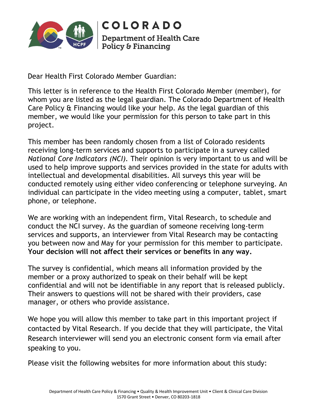

COLORADO **Department of Health Care** Policy & Financing

Dear Health First Colorado Member Guardian:

This letter is in reference to the Health First Colorado Member (member), for whom you are listed as the legal guardian. The Colorado Department of Health Care Policy & Financing would like your help. As the legal guardian of this member, we would like your permission for this person to take part in this project.

This member has been randomly chosen from a list of Colorado residents receiving long-term services and supports to participate in a survey called *National Core Indicators (NCI).* Their opinion is very important to us and will be used to help improve supports and services provided in the state for adults with intellectual and developmental disabilities. All surveys this year will be conducted remotely using either video conferencing or telephone surveying. An individual can participate in the video meeting using a computer, tablet, smart phone, or telephone.

We are working with an independent firm, Vital Research, to schedule and conduct the NCI survey. As the guardian of someone receiving long-term services and supports, an interviewer from Vital Research may be contacting you between now and May for your permission for this member to participate. **Your decision will not affect their services or benefits in any way.**

The survey is confidential, which means all information provided by the member or a proxy authorized to speak on their behalf will be kept confidential and will not be identifiable in any report that is released publicly. Their answers to questions will not be shared with their providers, case manager, or others who provide assistance.

We hope you will allow this member to take part in this important project if contacted by Vital Research. If you decide that they will participate, the Vital Research interviewer will send you an electronic consent form via email after speaking to you.

Please visit the following websites for more information about this study: